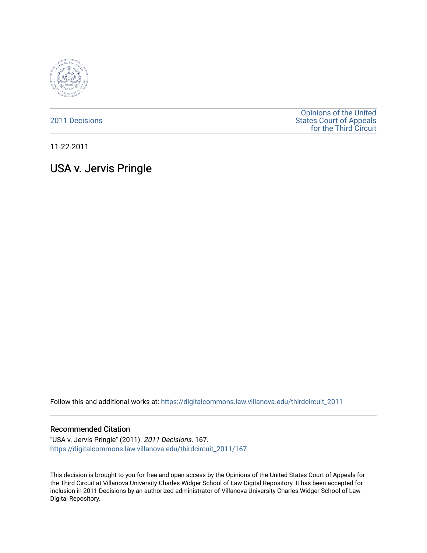

[2011 Decisions](https://digitalcommons.law.villanova.edu/thirdcircuit_2011)

[Opinions of the United](https://digitalcommons.law.villanova.edu/thirdcircuit)  [States Court of Appeals](https://digitalcommons.law.villanova.edu/thirdcircuit)  [for the Third Circuit](https://digitalcommons.law.villanova.edu/thirdcircuit) 

11-22-2011

# USA v. Jervis Pringle

Follow this and additional works at: [https://digitalcommons.law.villanova.edu/thirdcircuit\\_2011](https://digitalcommons.law.villanova.edu/thirdcircuit_2011?utm_source=digitalcommons.law.villanova.edu%2Fthirdcircuit_2011%2F167&utm_medium=PDF&utm_campaign=PDFCoverPages) 

#### Recommended Citation

"USA v. Jervis Pringle" (2011). 2011 Decisions. 167. [https://digitalcommons.law.villanova.edu/thirdcircuit\\_2011/167](https://digitalcommons.law.villanova.edu/thirdcircuit_2011/167?utm_source=digitalcommons.law.villanova.edu%2Fthirdcircuit_2011%2F167&utm_medium=PDF&utm_campaign=PDFCoverPages)

This decision is brought to you for free and open access by the Opinions of the United States Court of Appeals for the Third Circuit at Villanova University Charles Widger School of Law Digital Repository. It has been accepted for inclusion in 2011 Decisions by an authorized administrator of Villanova University Charles Widger School of Law Digital Repository.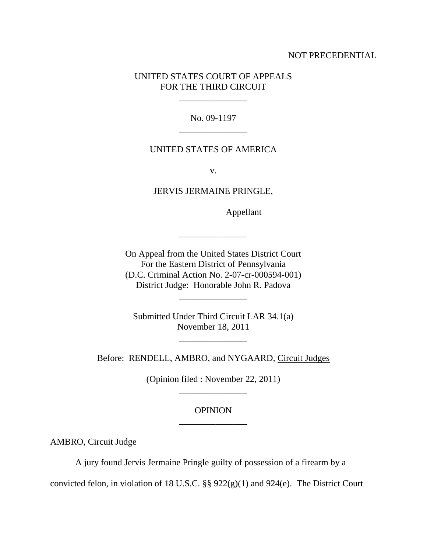#### NOT PRECEDENTIAL

## UNITED STATES COURT OF APPEALS FOR THE THIRD CIRCUIT

\_\_\_\_\_\_\_\_\_\_\_\_\_\_\_

No. 09-1197 \_\_\_\_\_\_\_\_\_\_\_\_\_\_\_

### UNITED STATES OF AMERICA

v.

JERVIS JERMAINE PRINGLE,

Appellant

On Appeal from the United States District Court For the Eastern District of Pennsylvania (D.C. Criminal Action No. 2-07-cr-000594-001) District Judge: Honorable John R. Padova

\_\_\_\_\_\_\_\_\_\_\_\_\_\_\_

\_\_\_\_\_\_\_\_\_\_\_\_\_\_\_

Submitted Under Third Circuit LAR 34.1(a) November 18, 2011

\_\_\_\_\_\_\_\_\_\_\_\_\_\_\_

Before: RENDELL, AMBRO, and NYGAARD, Circuit Judges

(Opinion filed : November 22, 2011) \_\_\_\_\_\_\_\_\_\_\_\_\_\_\_

## **OPINION** \_\_\_\_\_\_\_\_\_\_\_\_\_\_\_

AMBRO, Circuit Judge

A jury found Jervis Jermaine Pringle guilty of possession of a firearm by a

convicted felon, in violation of 18 U.S.C. §§ 922(g)(1) and 924(e). The District Court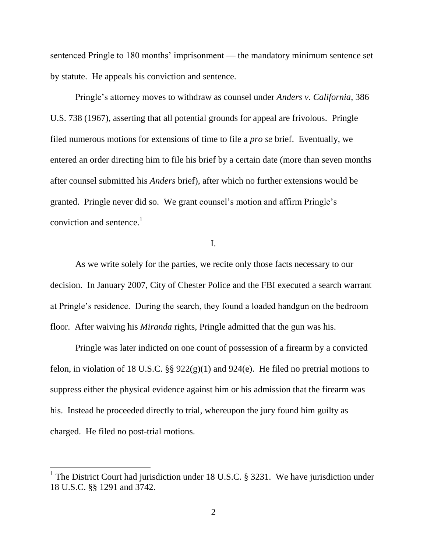sentenced Pringle to 180 months' imprisonment — the mandatory minimum sentence set by statute. He appeals his conviction and sentence.

Pringle's attorney moves to withdraw as counsel under *Anders v. California*, 386 U.S. 738 (1967), asserting that all potential grounds for appeal are frivolous. Pringle filed numerous motions for extensions of time to file a *pro se* brief. Eventually, we entered an order directing him to file his brief by a certain date (more than seven months after counsel submitted his *Anders* brief), after which no further extensions would be granted. Pringle never did so. We grant counsel's motion and affirm Pringle's conviction and sentence. $<sup>1</sup>$ </sup>

I.

As we write solely for the parties, we recite only those facts necessary to our decision. In January 2007, City of Chester Police and the FBI executed a search warrant at Pringle's residence. During the search, they found a loaded handgun on the bedroom floor. After waiving his *Miranda* rights, Pringle admitted that the gun was his.

Pringle was later indicted on one count of possession of a firearm by a convicted felon, in violation of 18 U.S.C.  $\S$  922(g)(1) and 924(e). He filed no pretrial motions to suppress either the physical evidence against him or his admission that the firearm was his. Instead he proceeded directly to trial, whereupon the jury found him guilty as charged. He filed no post-trial motions.

<sup>&</sup>lt;sup>1</sup> The District Court had jurisdiction under 18 U.S.C. § 3231. We have jurisdiction under 18 U.S.C. §§ 1291 and 3742.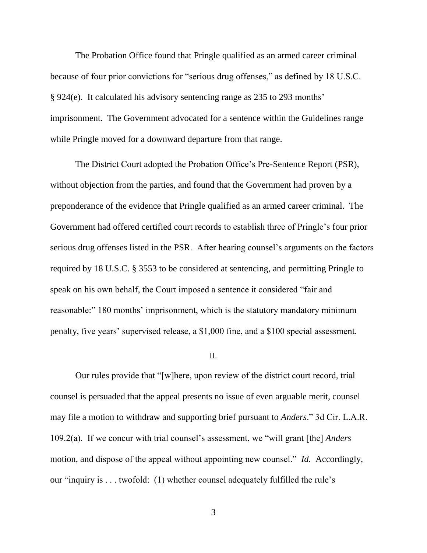The Probation Office found that Pringle qualified as an armed career criminal because of four prior convictions for "serious drug offenses," as defined by 18 U.S.C. § 924(e). It calculated his advisory sentencing range as 235 to 293 months' imprisonment. The Government advocated for a sentence within the Guidelines range while Pringle moved for a downward departure from that range.

The District Court adopted the Probation Office's Pre-Sentence Report (PSR), without objection from the parties, and found that the Government had proven by a preponderance of the evidence that Pringle qualified as an armed career criminal. The Government had offered certified court records to establish three of Pringle's four prior serious drug offenses listed in the PSR. After hearing counsel's arguments on the factors required by 18 U.S.C. § 3553 to be considered at sentencing, and permitting Pringle to speak on his own behalf, the Court imposed a sentence it considered "fair and reasonable:" 180 months' imprisonment, which is the statutory mandatory minimum penalty, five years' supervised release, a \$1,000 fine, and a \$100 special assessment.

#### II.

Our rules provide that "[w]here, upon review of the district court record, trial counsel is persuaded that the appeal presents no issue of even arguable merit, counsel may file a motion to withdraw and supporting brief pursuant to *Anders*." 3d Cir. L.A.R. 109.2(a). If we concur with trial counsel's assessment, we "will grant [the] *Anders* motion, and dispose of the appeal without appointing new counsel." *Id.* Accordingly, our "inquiry is . . . twofold: (1) whether counsel adequately fulfilled the rule's

3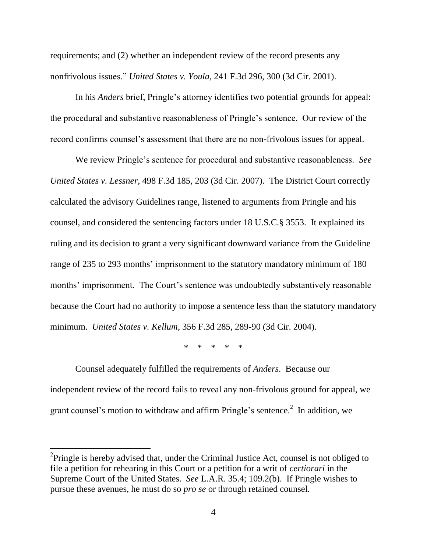requirements; and (2) whether an independent review of the record presents any nonfrivolous issues." *United States v. Youla,* 241 F.3d 296, 300 (3d Cir. 2001).

In his *Anders* brief, Pringle's attorney identifies two potential grounds for appeal: the procedural and substantive reasonableness of Pringle's sentence. Our review of the record confirms counsel's assessment that there are no non-frivolous issues for appeal.

We review Pringle's sentence for procedural and substantive reasonableness. *See United States v. Lessner*, 498 F.3d 185, 203 (3d Cir. 2007). The District Court correctly calculated the advisory Guidelines range, listened to arguments from Pringle and his counsel, and considered the sentencing factors under 18 U.S.C.§ 3553. It explained its ruling and its decision to grant a very significant downward variance from the Guideline range of 235 to 293 months' imprisonment to the statutory mandatory minimum of 180 months' imprisonment. The Court's sentence was undoubtedly substantively reasonable because the Court had no authority to impose a sentence less than the statutory mandatory minimum. *United States v. Kellum*, 356 F.3d 285, 289-90 (3d Cir. 2004).

\* \* \* \* \*

Counsel adequately fulfilled the requirements of *Anders*. Because our independent review of the record fails to reveal any non-frivolous ground for appeal, we grant counsel's motion to withdraw and affirm Pringle's sentence.<sup>2</sup> In addition, we

<sup>&</sup>lt;sup>2</sup>Pringle is hereby advised that, under the Criminal Justice Act, counsel is not obliged to file a petition for rehearing in this Court or a petition for a writ of *certiorari* in the Supreme Court of the United States. *See* L.A.R. 35.4; 109.2(b). If Pringle wishes to pursue these avenues, he must do so *pro se* or through retained counsel*.*